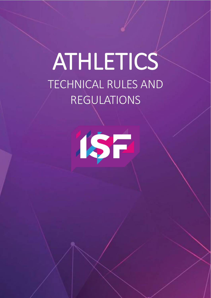# ATHLETICS TECHNICAL RULES AND REGULATIONS



 $\overline{\phantom{a}}$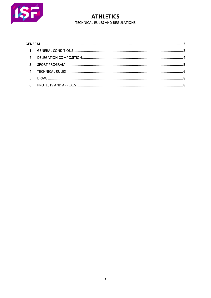

**ATHLETICS** TECHNICAL RULES AND REGULATIONS

| $5 -$ |  |  |
|-------|--|--|
|       |  |  |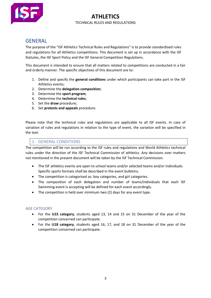

# **ATHLETICS** TECHNICAL RULES AND REGULATIONS

# **GENERAL**

The purpose of the "ISF Athletics Technical Rules and Regulations" is to provide standardised rules and regulations for all Athletics competitions. This document is set up in accordance with the ISF Statutes, the ISF Sport Policy and the ISF General Competition Regulations.

This document is intended to ensure that all matters related to competitions are conducted in a fair and orderly manner. The specific objectives of this document are to:

- 1. Define and specify the **general conditions** under which participants can take part in the ISF Athletics events;
- 2. Determine the **delegation composition**;
- 3. Determine the **sport program**;
- 4. Determine the **technical rules**;
- 5. Set the **draw** procedure;
- 6. Set **protests and appeals** procedure.

Please note that the technical rules and regulations are applicable to all ISF events. In case of variation of rules and regulations in relation to the type of event, the variation will be specified in the text.

# 1. GENERAL CONDITIONS

The competition will be run according to the ISF rules and regulations and World Athletics technical rules under the direction of the ISF Technical Commission of athletics. Any decisions over matters not mentioned in the present document will be taken by the ISF Technical Commission.

- The ISF athletics events are open to school teams and/or selected teams and/or individuals. Specific sports formats shall be described in the event bulletins.
- The competition is categorised as: boy categories, and girl categories.
- The composition of each delegation and number of teams/individuals that each ISF Swimming event is accepting will be defined for each event accordingly.
- The competition is held over minimum two (2) days for any event type.

# AGE CATEGORY

- For the **U15 category**, students aged 13, 14 and 15 on 31 December of the year of the competition concerned can participate.
- For the **U18 category**, students aged 16, 17, and 18 on 31 December of the year of the competition concerned can participate.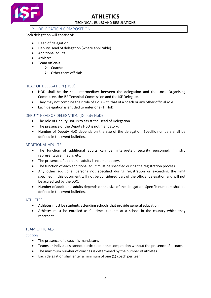

# TECHNICAL RULES AND REGULATIONS

# 2. DELEGATION COMPOSITION

Each delegation will consist of:

- Head of delegation
- Deputy Head of delegation (where applicable)
- Additional adults
- Athletes
- Team officials
	- ➢ Coaches
	- ➢ Other team officials

# HEAD OF DELEGATION (HOD)

- HOD shall be the sole intermediary between the delegation and the Local Organising Committee, the ISF Technical Commission and the ISF Delegate.
- They may not combine their role of HoD with that of a coach or any other official role.
- Each delegation is entitled to enter one (1) HoD.

# DEPUTY HEAD OF DELEGATION (Deputy HoD)

- The role of Deputy HoD is to assist the Head of Delegation.
- The presence of the Deputy HoD is not mandatory.
- Number of Deputy HoD depends on the size of the delegation. Specific numbers shall be defined in the event bulletins.

# ADDITIONAL ADULTS

- The function of additional adults can be: interpreter, security personnel, ministry representative, media, etc.
- The presence of additional adults is not mandatory.
- The function of each additional adult must be specified during the registration process.
- Any other additional persons not specified during registration or exceeding the limit specified in this document will not be considered part of the official delegation and will not be accredited by the LOC.
- Number of additional adults depends on the size of the delegation. Specific numbers shall be defined in the event bulletins.

# **ATHLETES**

- Athletes must be students attending schools that provide general education.
- Athletes must be enrolled as full-time students at a school in the country which they represent.

# TEAM OFFICIALS

# *Coaches*

- The presence of a coach is mandatory.
- Teams or individuals cannot participate in the competition without the presence of a coach.
- The maximum number of coaches is determined by the number of athletes.
- Each delegation shall enter a minimum of one (1) coach per team.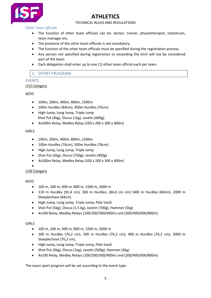

TECHNICAL RULES AND REGULATIONS

*Other Team officials*

- The function of other team officials can be: doctor, trainer, physiotherapist, statistician, team manager etc.
- The presence of the other team officials is not mandatory.
- The function of the other team officials must be specified during the registration process.
- Any person not specified during registration or exceeding the limit will not be considered part of the team.
- Each delegation shall enter up to one (1) other team official each per team.

# 3. SPORT PROGRAM

# EVENTS

U15 Category

BOYS

- 100m, 200m, 400m, 800m, 1500m
- 100m Hurdles (84cm), 300m Hurdles (76cm)
- High Jump, Long Jump, Triple Jump Shot Put (4kg), Discus (1kg), Javelin (600g)
- 4x100m Relay, Medley Relay (100 x 200 x 300 x 400m)

# **GIRLS**

- 100m, 200m, 400m, 800m, 1500m
- 100m Hurdles (76cm), 300m Hurdles (76cm)
- High Jump, Long Jump, Triple Jump
- Shot Put (3kg), Discus (750g), Javelin (400g)
- 4x100m Relay, Medley Relay (100 x 200 x 300 x 400m)
- •

# U18 Category

# **BOYS**

- 100 m, 200 m, 400 m, 800 m, 1500 m, 3000 m
- 110 m Hurdles (91,4 cm), 300 m Hurdles, (84,0 cm cm) (400 m Hurdles (84cm), 2000 m Steeplechase (84cm)
- High Jump, Long Jump, Triple Jump, Pole Vault
- Shot Put (5kg), Discus (1.5 kg), Javelin (700g), Hammer (5kg)
- 4x100 Relay, Medley Relays (100/200/300/400m) and (200/400/600/800m)

# **GIRLS**

- 100 m, 200 m, 400 m, 800 m, 1500 m, 3000 m
- 100 m Hurdles (76,2 cm), 300 m Hurdles (76,2 cm), 400 m Hurdles (76,2 cm), 2000 m Steeplechase (76,2 cm),
- High Jump, Long Jump, Triple Jump, Pole Vault
- Shot Put (3kg), Discus (1kg), Javelin (500g), Hammer (3kg)
- 4x100 Relay, Medley Relays (100/200/300/400m) and (200/400/600/800m)

The exact sport program will be set accoridng to the event type.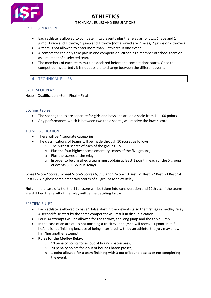

# **ATHLETICS** TECHNICAL RULES AND REGULATIONS

ENTRIES PER EVENT

- Each athlete is allowed to compete in two events plus the relay as follows. 1 race and 1 jump, 1 race and 1 throw, 1 jump and 1 throw (not allowed are 2 races, 2 jumps or 2 throws)
- A team is not allowed to enter more than 3 athletes in one event.
- A competitor can only take part in one competition, either as a member of school team or as a member of a selected team.
- The members of each team must be declared before the competitions starts. Once the competition is started , it is not possible to change between the different events

# 4. TECHNICAL RULES

#### SYSTEM OF PLAY

Heats - Qualification –Semi Final – Final

#### Scoring tables

- The scoring tables are separate for girls and boys and are on a scale from  $1 100$  points
- Any performance, which is between two table scores, will receive the lower score.

#### TEAM CLASIFICATION

- There will be 4 separate categories.
- The classifications of teams will be made through 10 scores as follows;
	- o The highest scores of each of the groups 1-5
	- o Plus the four highest complementary scores of the five groups,
	- o Plus the scores of the relay
	- o In order to be classified a team must obtain at least 1 point in each of the 5 groups of events (G1-G5 Plus relay)

Score1 Score2 Score3 Score4 Score5 Scores 6, 7, 8 and 9 Score 10 Best G1 Best G2 Best G3 Best G4 Best G5 4 highest complementary scores of all groups Medley Relay

**Note :** In the case of a tie, the 11th score will be taken into consideration and 12th etc. If the teams are still tied the result of the relay will be the deciding factor.

#### SPECIFIC RULES

- Each athlete is allowed to have 1 false start in track events (also the first leg in medley relay). A second false start by the same competitor will result in disqualification.
- Four (4) attempts will be allowed for the throws, the long jump and the triple-jump.
- In the case of an athlete is not finishing a track event he/she will receive 1 point. But if he/she is not finishing because of being interfered with by an athlete, the jury may allow him/her another attempt.
- **Rules for the Medley Relay:**
	- $\circ$  10 penalty points for an out of bounds baton pass,
	- o 20 penalty points for 2 out of bounds baton passes,
	- $\circ$  1 point allowed for a team finishing with 3 out of bound passes or not completing the event.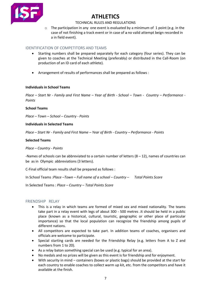

#### TECHNICAL RULES AND REGULATIONS

 $\circ$  The participation in any one event is evaluated by a minimum of 1 point (e.g. in the case of not finishing a track event or in case of a no valid attempt beign recorded in a in field event).

# IDENTIFICATION OF COMPETITORS AND TEAMS

- Starting numbers shall be prepared separately for each category (four series). They can be given to coaches at the Technical Meeting (preferably) or distributed in the Call-Room (on production of an ID card of each athlete).
- Arrangement of results of performances shall be prepared as follows :

#### **Individuals in School Teams**

*Place – Start Nr - Family and First Name – Year of Birth - School – Town - Country – Performance - Points* 

#### **School Teams**

*Place – Town – School – Country - Points*

#### **Individuals in Selected Teams**

*Place – Start Nr - Family and First Name – Year of Birth - Country – Performance - Points* 

#### **Selected Teams**

#### *Place – Country - Points*

-Names of schools can be abbreviated to a certain number of letters  $(8 - 12)$ , names of countries can be as in Olympic abbreviations (3 letters).

C-Final official team results shall be prepared as follows :

In School Teams :*Place –Town – Full name of a school – Country – Total Points Score*

In Selected Teams *: Place – Country – Total Points Score*

# FRIENDSHIP RELAY

- This is a relay in which teams are formed of mixed sex and mixed nationality. The teams take part in a relay event with legs of about 300 - 500 metres .It should be held in a public place (known as a historical, cultural, touristic, geographic or other place of particular importance) so that the local population can recognize the friendship among pupils of different nations.
- All competitors are expected to take part. In addition teams of coaches, organisers and officials are welcome to participate.
- Special starting cards are needed for the Friendship Relay (e.g. letters from A to Z and numbers from 1 to 20).
- As a relay baton something special can be used (e.g. typical for an area).
- No medals and no prizes will be given as this event is for friendship and for enjoyment.
- With security in mind containers (boxes or plastic bags) should be provided at the start for each country to enable coaches to collect warm up kit, etc. from the competitors and have it available at the finish.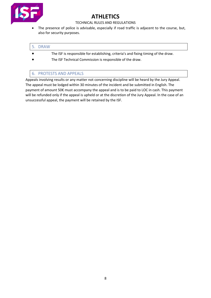

# TECHNICAL RULES AND REGULATIONS

• The presence of police is advisable, especially if road traffic is adjacent to the course, but, also for security purposes.

# 5. DRAW

- The ISF is responsible for establishing, criteria's and fixing timing of the draw.
- The ISF Technical Commission is responsible of the draw.

# 6. PROTESTS AND APPEALS

Appeals involving results or any matter not concerning discipline will be heard by the Jury Appeal. The appeal must be lodged within 30 minutes of the incident and be submitted in English. The payment of amount 50€ must accompany the appeal and is to be paid to LOC in cash. This payment will be refunded only if the appeal is upheld or at the discretion of the Jury Appeal. In the case of an unsuccessful appeal, the payment will be retained by the ISF.